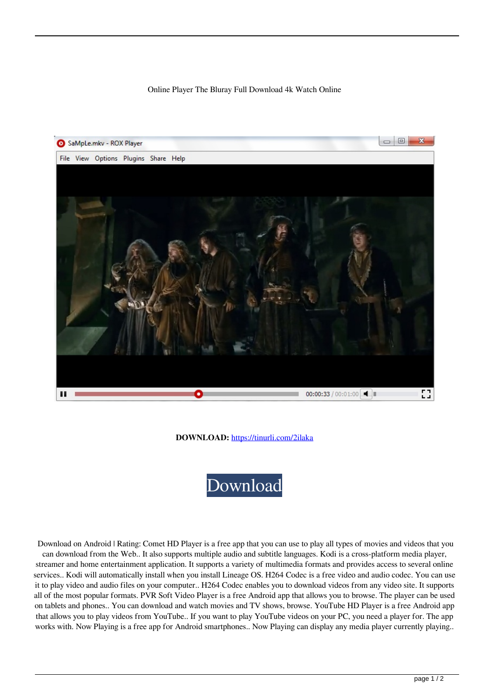## Online Player The Bluray Full Download 4k Watch Online



**DOWNLOAD:** <https://tinurli.com/2ilaka>



 Download on Android | Rating: Comet HD Player is a free app that you can use to play all types of movies and videos that you can download from the Web.. It also supports multiple audio and subtitle languages. Kodi is a cross-platform media player, streamer and home entertainment application. It supports a variety of multimedia formats and provides access to several online services.. Kodi will automatically install when you install Lineage OS. H264 Codec is a free video and audio codec. You can use it to play video and audio files on your computer.. H264 Codec enables you to download videos from any video site. It supports all of the most popular formats. PVR Soft Video Player is a free Android app that allows you to browse. The player can be used on tablets and phones.. You can download and watch movies and TV shows, browse. YouTube HD Player is a free Android app that allows you to play videos from YouTube.. If you want to play YouTube videos on your PC, you need a player for. The app works with. Now Playing is a free app for Android smartphones.. Now Playing can display any media player currently playing..